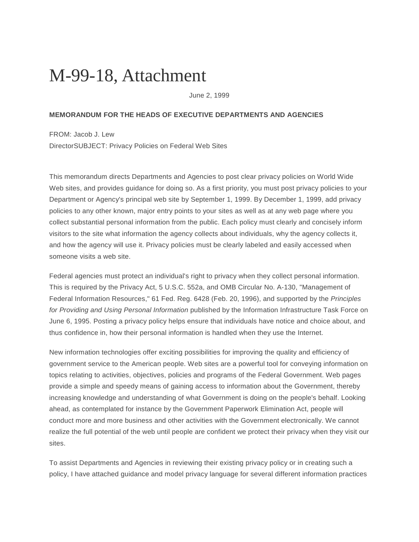## M-99-18, Attachment

June 2, 1999

## **MEMORANDUM FOR THE HEADS OF EXECUTIVE DEPARTMENTS AND AGENCIES**

FROM: Jacob J. Lew DirectorSUBJECT: Privacy Policies on Federal Web Sites

This memorandum directs Departments and Agencies to post clear privacy policies on World Wide Web sites, and provides guidance for doing so. As a first priority, you must post privacy policies to your Department or Agency's principal web site by September 1, 1999. By December 1, 1999, add privacy policies to any other known, major entry points to your sites as well as at any web page where you collect substantial personal information from the public. Each policy must clearly and concisely inform visitors to the site what information the agency collects about individuals, why the agency collects it, and how the agency will use it. Privacy policies must be clearly labeled and easily accessed when someone visits a web site.

Federal agencies must protect an individual's right to privacy when they collect personal information. This is required by the Privacy Act, 5 U.S.C. 552a, and OMB Circular No. A-130, "Management of Federal Information Resources," 61 Fed. Reg. 6428 (Feb. 20, 1996), and supported by the *Principles for Providing and Using Personal Information* published by the Information Infrastructure Task Force on June 6, 1995. Posting a privacy policy helps ensure that individuals have notice and choice about, and thus confidence in, how their personal information is handled when they use the Internet.

New information technologies offer exciting possibilities for improving the quality and efficiency of government service to the American people. Web sites are a powerful tool for conveying information on topics relating to activities, objectives, policies and programs of the Federal Government. Web pages provide a simple and speedy means of gaining access to information about the Government, thereby increasing knowledge and understanding of what Government is doing on the people's behalf. Looking ahead, as contemplated for instance by the Government Paperwork Elimination Act, people will conduct more and more business and other activities with the Government electronically. We cannot realize the full potential of the web until people are confident we protect their privacy when they visit our sites.

To assist Departments and Agencies in reviewing their existing privacy policy or in creating such a policy, I have attached guidance and model privacy language for several different information practices